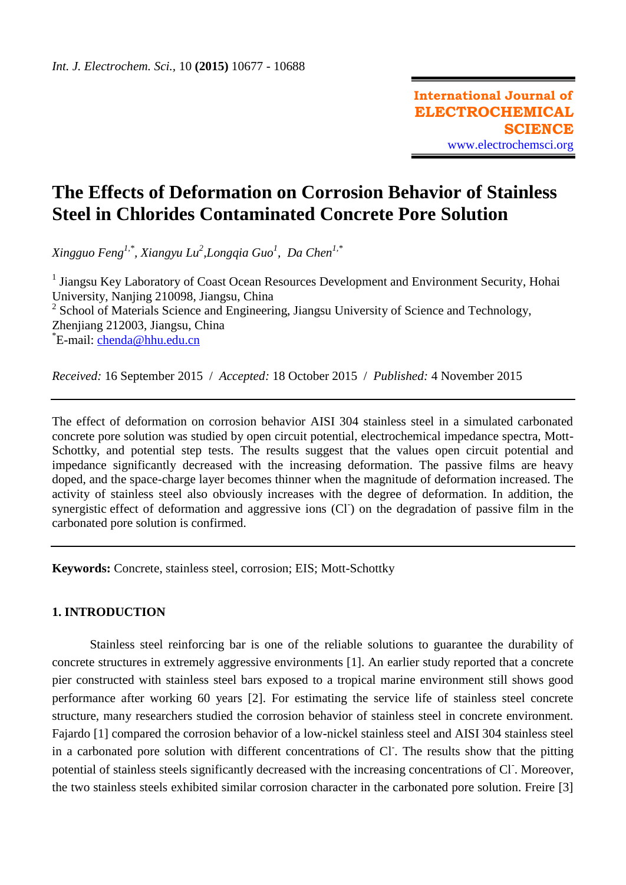# **The Effects of Deformation on Corrosion Behavior of Stainless Steel in Chlorides Contaminated Concrete Pore Solution**

*Xingguo Feng1,\*, Xiangyu Lu<sup>2</sup> ,Longqia Guo<sup>1</sup> , Da Chen1,\**

<sup>1</sup> Jiangsu Key Laboratory of Coast Ocean Resources Development and Environment Security, Hohai University, Nanjing 210098, Jiangsu, China <sup>2</sup> School of Materials Science and Engineering, Jiangsu University of Science and Technology, Zhenjiang 212003, Jiangsu, China \*E-mail: [chenda@hhu.edu.cn](mailto:chenda@hhu.edu.cn)

*Received:* 16 September 2015/ *Accepted:* 18 October 2015 / *Published:* 4 November 2015

The effect of deformation on corrosion behavior AISI 304 stainless steel in a simulated carbonated concrete pore solution was studied by open circuit potential, electrochemical impedance spectra, Mott-Schottky, and potential step tests. The results suggest that the values open circuit potential and impedance significantly decreased with the increasing deformation. The passive films are heavy doped, and the space-charge layer becomes thinner when the magnitude of deformation increased. The activity of stainless steel also obviously increases with the degree of deformation. In addition, the synergistic effect of deformation and aggressive ions (CI) on the degradation of passive film in the carbonated pore solution is confirmed.

**Keywords:** Concrete, stainless steel, corrosion; EIS; Mott-Schottky

# **1. INTRODUCTION**

Stainless steel reinforcing bar is one of the reliable solutions to guarantee the durability of concrete structures in extremely aggressive environments [1]. An earlier study reported that a concrete pier constructed with stainless steel bars exposed to a tropical marine environment still shows good performance after working 60 years [2]. For estimating the service life of stainless steel concrete structure, many researchers studied the corrosion behavior of stainless steel in concrete environment. Fajardo [1] compared the corrosion behavior of a low-nickel stainless steel and AISI 304 stainless steel in a carbonated pore solution with different concentrations of Cl. The results show that the pitting potential of stainless steels significantly decreased with the increasing concentrations of Cl. Moreover, the two stainless steels exhibited similar corrosion character in the carbonated pore solution. Freire [3]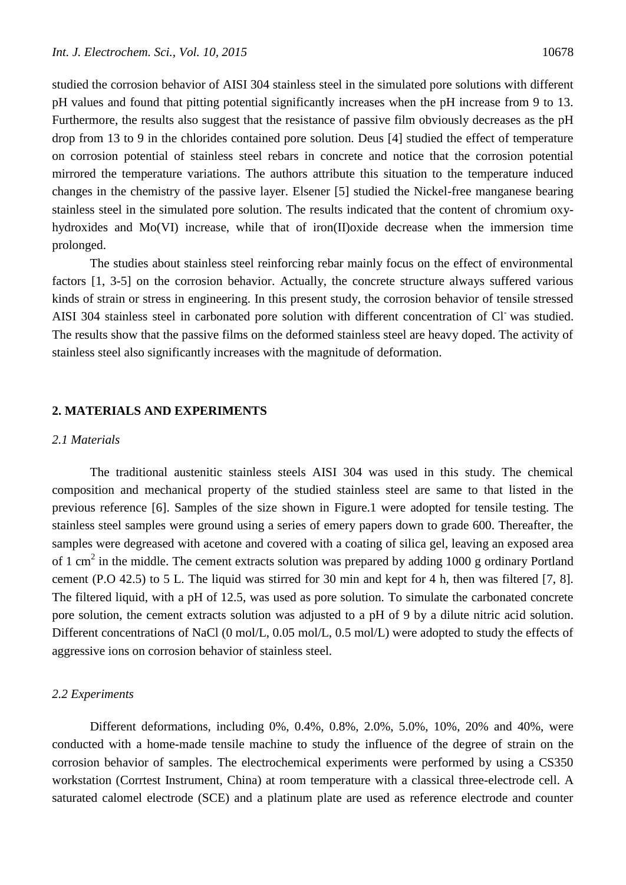studied the corrosion behavior of AISI 304 stainless steel in the simulated pore solutions with different pH values and found that pitting potential significantly increases when the pH increase from 9 to 13. Furthermore, the results also suggest that the resistance of passive film obviously decreases as the pH drop from 13 to 9 in the chlorides contained pore solution. Deus [4] studied the effect of temperature on corrosion potential of stainless steel rebars in concrete and notice that the corrosion potential mirrored the temperature variations. The authors attribute this situation to the temperature induced changes in the chemistry of the passive layer. Elsener [5] studied the Nickel-free manganese bearing stainless steel in the simulated pore solution. The results indicated that the content of chromium oxyhydroxides and Mo(VI) increase, while that of iron(II)oxide decrease when the immersion time prolonged.

The studies about stainless steel reinforcing rebar mainly focus on the effect of environmental factors [1, 3-5] on the corrosion behavior. Actually, the concrete structure always suffered various kinds of strain or stress in engineering. In this present study, the corrosion behavior of tensile stressed AISI 304 stainless steel in carbonated pore solution with different concentration of Cl was studied. The results show that the passive films on the deformed stainless steel are heavy doped. The activity of stainless steel also significantly increases with the magnitude of deformation.

## **2. MATERIALS AND EXPERIMENTS**

#### *2.1 Materials*

The traditional austenitic stainless steels AISI 304 was used in this study. The chemical composition and mechanical property of the studied stainless steel are same to that listed in the previous reference [6]. Samples of the size shown in Figure.1 were adopted for tensile testing. The stainless steel samples were ground using a series of emery papers down to grade 600. Thereafter, the samples were degreased with acetone and covered with a coating of silica gel, leaving an exposed area of 1 cm<sup>2</sup> in the middle. The cement extracts solution was prepared by adding 1000 g [ordinary](javascript:void(0);) [Portland](javascript:void(0);) [cement](javascript:void(0);) (P.O 42.5) to 5 L. The liquid was stirred for 30 min and kept for 4 h, then was filtered [7, 8]. The filtered liquid, with a pH of 12.5, was used as pore solution. To simulate the carbonated concrete pore solution, the cement extracts solution was adjusted to a pH of 9 by a dilute nitric acid solution. Different concentrations of NaCl (0 mol/L, 0.05 mol/L, 0.5 mol/L) were adopted to study the effects of aggressive ions on corrosion behavior of stainless steel.

#### *2.2 Experiments*

Different deformations, including 0%, 0.4%, 0.8%, 2.0%, 5.0%, 10%, 20% and 40%, were conducted with a home-made tensile machine to study the influence of the degree of strain on the corrosion behavior of samples. The electrochemical experiments were performed by using a CS350 workstation (Corrtest Instrument, China) at room temperature with a classical three-electrode cell. A saturated calomel electrode (SCE) and a platinum plate are used as reference electrode and counter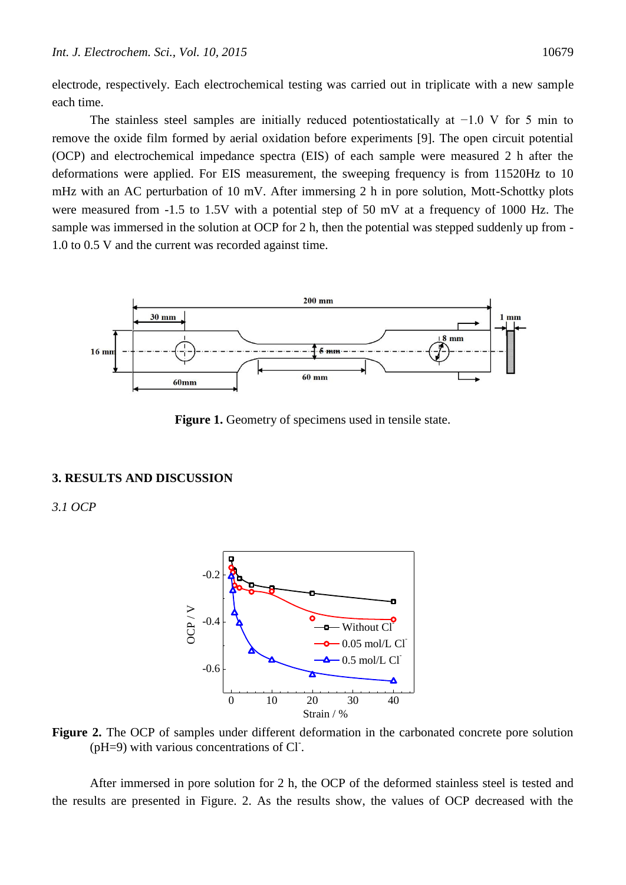electrode, respectively. Each electrochemical testing was carried out in triplicate with a new sample each time.

The stainless steel samples are initially reduced potentiostatically at −1.0 V for 5 min to remove the oxide film formed by aerial oxidation before experiments [9]. The open circuit potential (OCP) and electrochemical impedance spectra (EIS) of each sample were measured 2 h after the deformations were applied. For EIS measurement, the sweeping frequency is from 11520Hz to 10 mHz with an AC perturbation of 10 mV. After immersing 2 h in pore solution, Mott-Schottky plots were measured from -1.5 to 1.5V with a potential step of 50 mV at a frequency of 1000 Hz. The sample was immersed in the solution at OCP for 2 h, then the potential was stepped suddenly up from - 1.0 to 0.5 V and the current was recorded against time.



**Figure 1.** Geometry of specimens used in tensile state.

### **3. RESULTS AND DISCUSSION**

*3.1 OCP*



**Figure 2.** The OCP of samples under different deformation in the carbonated concrete pore solution (pH=9) with various concentrations of Cl.

After immersed in pore solution for 2 h, the OCP of the deformed stainless steel is tested and the results are presented in Figure. 2. As the results show, the values of OCP decreased with the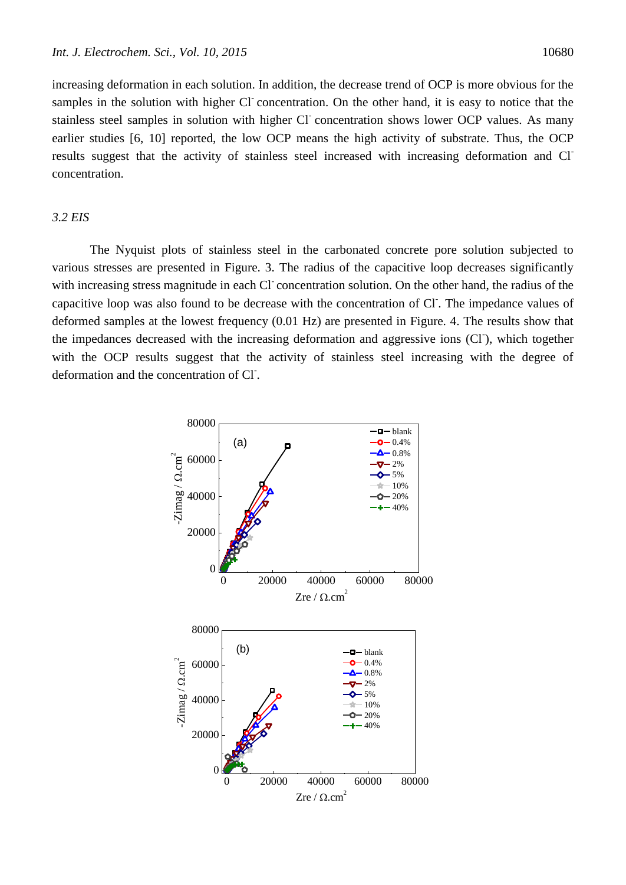increasing deformation in each solution. In addition, the decrease trend of OCP is more obvious for the samples in the solution with higher Cl concentration. On the other hand, it is easy to notice that the stainless steel samples in solution with higher Cl concentration shows lower OCP values. As many earlier studies [6, 10] reported, the low OCP means the high activity of substrate. Thus, the OCP results suggest that the activity of stainless steel increased with increasing deformation and Clconcentration.

## *3.2 EIS*

The Nyquist plots of stainless steel in the carbonated concrete pore solution subjected to various stresses are presented in Figure. 3. The radius of the capacitive loop decreases significantly with increasing stress magnitude in each Cl concentration solution. On the other hand, the radius of the capacitive loop was also found to be decrease with the concentration of Cl. The impedance values of deformed samples at the lowest frequency (0.01 Hz) are presented in Figure. 4. The results show that the impedances decreased with the increasing deformation and aggressive ions (CI), which together with the OCP results suggest that the activity of stainless steel increasing with the degree of deformation and the concentration of Cl<sup>-</sup>.

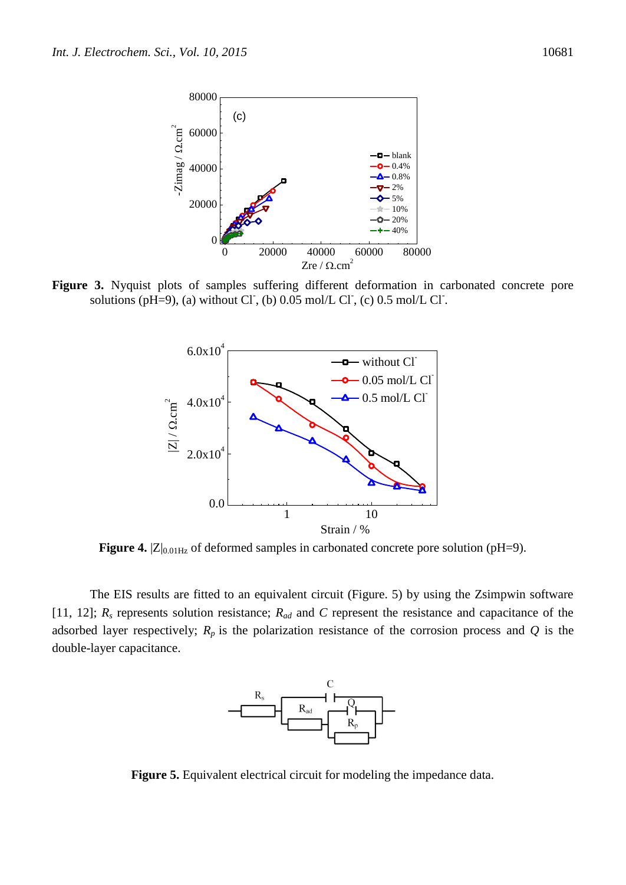

**Figure 3.** Nyquist plots of samples suffering different deformation in carbonated concrete pore solutions (pH=9), (a) without Cl, (b)  $0.05$  mol/L Cl, (c)  $0.5$  mol/L Cl.



Figure 4.  $|Z|_{0.01Hz}$  of deformed samples in carbonated concrete pore solution (pH=9).

The EIS results are fitted to an equivalent circuit (Figure. 5) by using the Zsimpwin software [11, 12]; *R<sup>s</sup>* represents solution resistance; *Rad* and *C* represent the resistance and capacitance of the adsorbed layer respectively;  $R_p$  is the polarization resistance of the corrosion process and  $Q$  is the double-layer capacitance.



**Figure 5.** Equivalent electrical circuit for modeling the impedance data.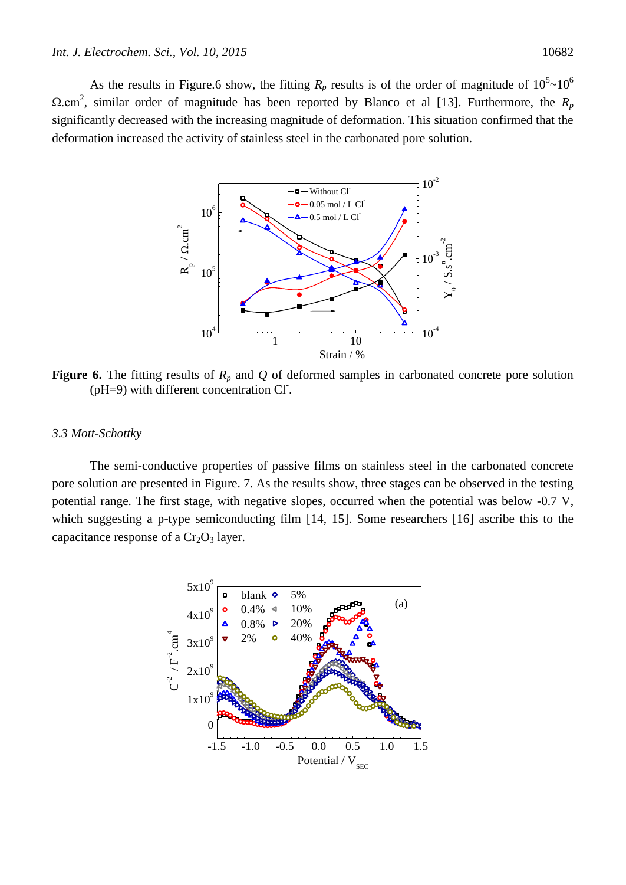As the results in Figure.6 show, the fitting  $R_p$  results is of the order of magnitude of  $10^5 \text{~}10^6$  $Ω.cm<sup>2</sup>$ , similar order of magnitude has been reported by Blanco et al [13]. Furthermore, the  $R_p$ significantly decreased with the increasing magnitude of deformation. This situation confirmed that the deformation increased the activity of stainless steel in the carbonated pore solution.



**Figure 6.** The fitting results of  $R_p$  and  $Q$  of deformed samples in carbonated concrete pore solution (pH=9) with different concentration Cl<sup>-</sup>.

#### *3.3 Mott-Schottky*

The semi-conductive properties of passive films on stainless steel in the carbonated concrete pore solution are presented in Figure. 7. As the results show, three stages can be observed in the testing potential range. The first stage, with negative slopes, occurred when the potential was below -0.7 V, which suggesting a p-type semiconducting film [14, 15]. Some researchers [16] ascribe this to the capacitance response of a  $Cr<sub>2</sub>O<sub>3</sub>$  layer.

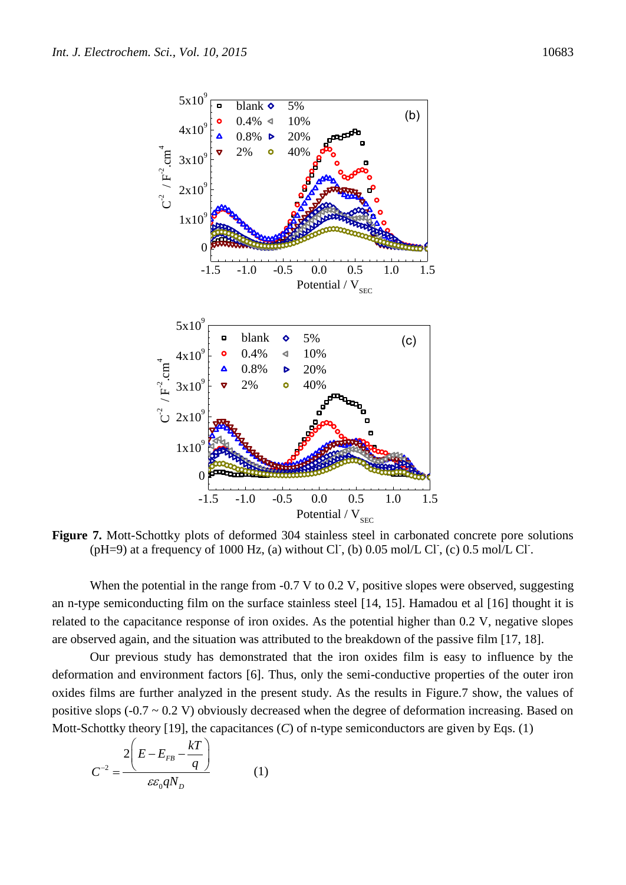



**Figure 7.** Mott-Schottky plots of deformed 304 stainless steel in carbonated concrete pore solutions (pH=9) at a frequency of 1000 Hz, (a) without Cl<sup>-</sup>, (b) 0.05 mol/L Cl<sup>-</sup>, (c) 0.5 mol/L Cl<sup>-</sup>.

When the potential in the range from -0.7 V to 0.2 V, positive slopes were observed, suggesting an n-type semiconducting film on the surface stainless steel [14, 15]. Hamadou et al [16] thought it is related to the capacitance response of iron oxides. As the potential higher than 0.2 V, negative slopes are observed again, and the situation was attributed to the breakdown of the passive film [17, 18].

Our previous study has demonstrated that the iron oxides film is easy to influence by the deformation and environment factors [6]. Thus, only the semi-conductive properties of the outer iron oxides films are further analyzed in the present study. As the results in Figure.7 show, the values of positive slops  $(-0.7 \sim 0.2 \text{ V})$  obviously decreased when the degree of deformation increasing. Based on Mott-Schottky theory [19], the capacitances (*C*) of n-type semiconductors are given by Eqs. (1)

$$
C^{-2} = \frac{2\left(E - E_{FB} - \frac{kT}{q}\right)}{\varepsilon\varepsilon_0 qN_D} \tag{1}
$$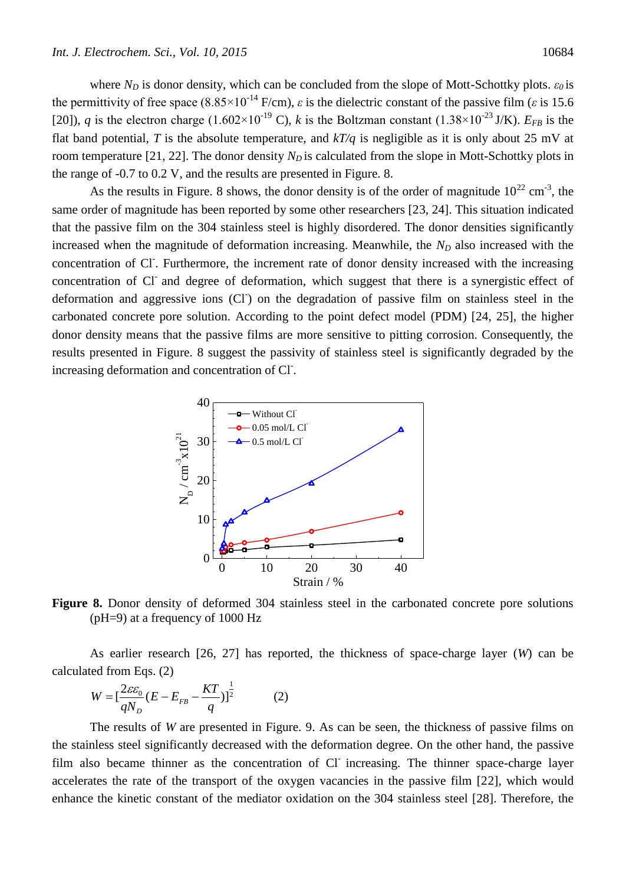where  $N_D$  is donor density, which can be concluded from the slope of Mott-Schottky plots.  $\varepsilon_0$  is the permittivity of free space  $(8.85 \times 10^{-14} \text{ F/cm})$ ,  $\varepsilon$  is the dielectric constant of the passive film ( $\varepsilon$  is 15.6) [20]), *q* is the electron charge (1.602×10<sup>-19</sup> C), *k* is the Boltzman constant (1.38×10<sup>-23</sup> J/K).  $E_{FB}$  is the flat band potential, *T* is the absolute temperature, and  $kT/q$  is negligible as it is only about 25 mV at room temperature [21, 22]. The donor density  $N<sub>D</sub>$  is calculated from the slope in Mott-Schottky plots in the range of -0.7 to 0.2 V, and the results are presented in Figure. 8.

As the results in Figure. 8 shows, the donor density is of the order of magnitude  $10^{22}$  cm<sup>-3</sup>, the same order of magnitude has been reported by some other researchers [23, 24]. This situation indicated that the passive film on the 304 stainless steel is highly disordered. The donor densities significantly increased when the magnitude of deformation increasing. Meanwhile, the  $N<sub>D</sub>$  also increased with the concentration of Cl. Furthermore, the increment rate of donor density increased with the increasing concentration of Cl and degree of deformation, which suggest that there is a synergistic effect of deformation and aggressive ions (CI) on the degradation of passive film on stainless steel in the carbonated concrete pore solution. According to the point defect model (PDM) [24, 25], the higher donor density means that the passive films are more sensitive to pitting corrosion. Consequently, the results presented in Figure. 8 suggest the passivity of stainless steel is significantly degraded by the increasing deformation and concentration of Cl.



**Figure 8.** Donor density of deformed 304 stainless steel in the carbonated concrete pore solutions (pH=9) at a frequency of 1000 Hz

As earlier research [26, 27] has reported, the thickness of space-charge layer (*W*) can be calculated from Eqs. (2)

$$
W = \left[\frac{2\varepsilon\varepsilon_0}{qN_D}(E - E_{FB} - \frac{KT}{q})\right]^{\frac{1}{2}}
$$
 (2)

The results of *W* are presented in Figure. 9. As can be seen, the thickness of passive films on the stainless steel significantly decreased with the deformation degree. On the other hand, the passive film also became thinner as the concentration of Cl increasing. The thinner space-charge layer accelerates the rate of the transport of the oxygen vacancies in the passive film [22], which would enhance the kinetic constant of the mediator oxidation on the 304 stainless steel [28]. Therefore, the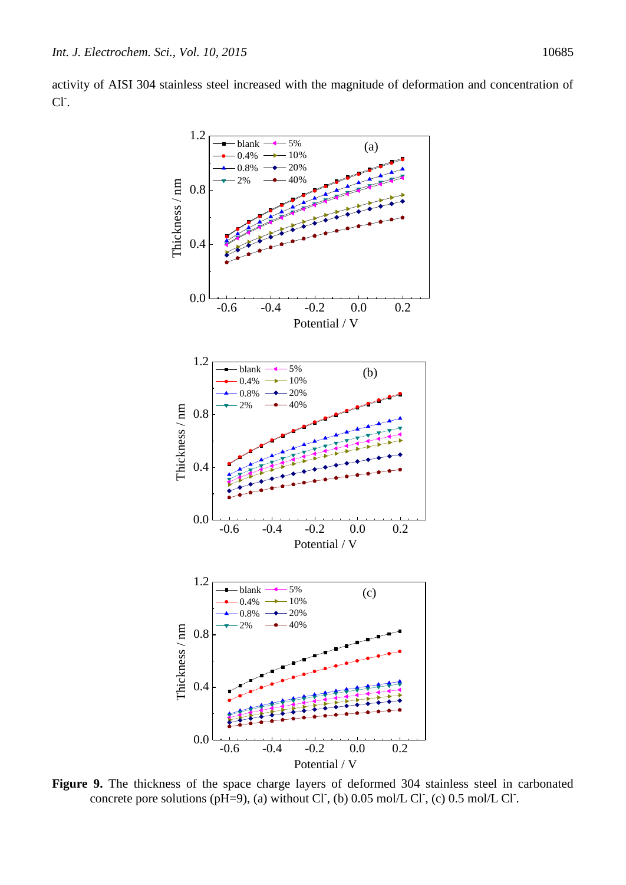activity of AISI 304 stainless steel increased with the magnitude of deformation and concentration of Cl<sup>-</sup>.



**Figure 9.** The thickness of the space charge layers of deformed 304 stainless steel in carbonated concrete pore solutions ( $pH=9$ ), (a) without Cl, (b) 0.05 mol/L Cl, (c) 0.5 mol/L Cl.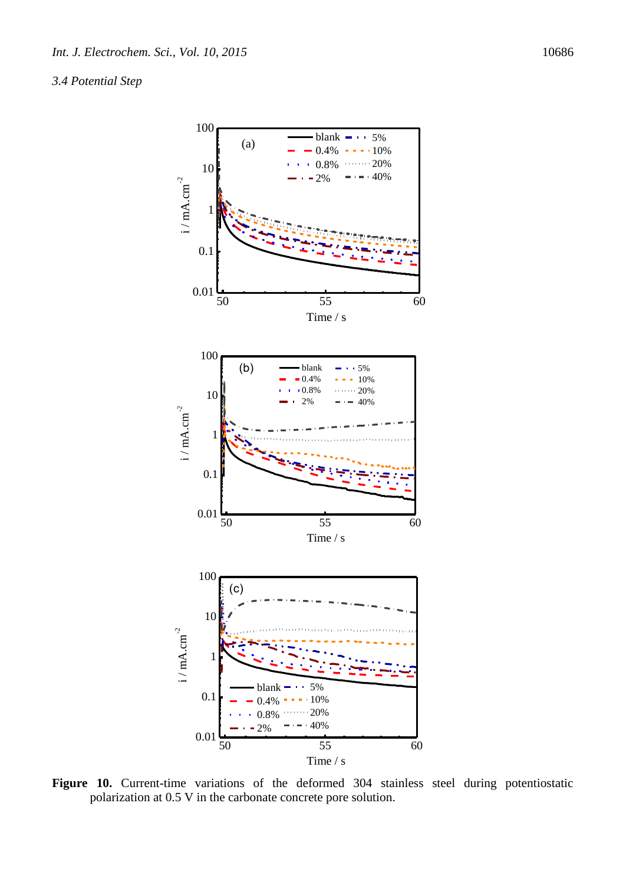## *3.4 Potential Step*



Figure 10. Current-time variations of the deformed 304 stainless steel during potentiostatic polarization at 0.5 V in the carbonate concrete pore solution.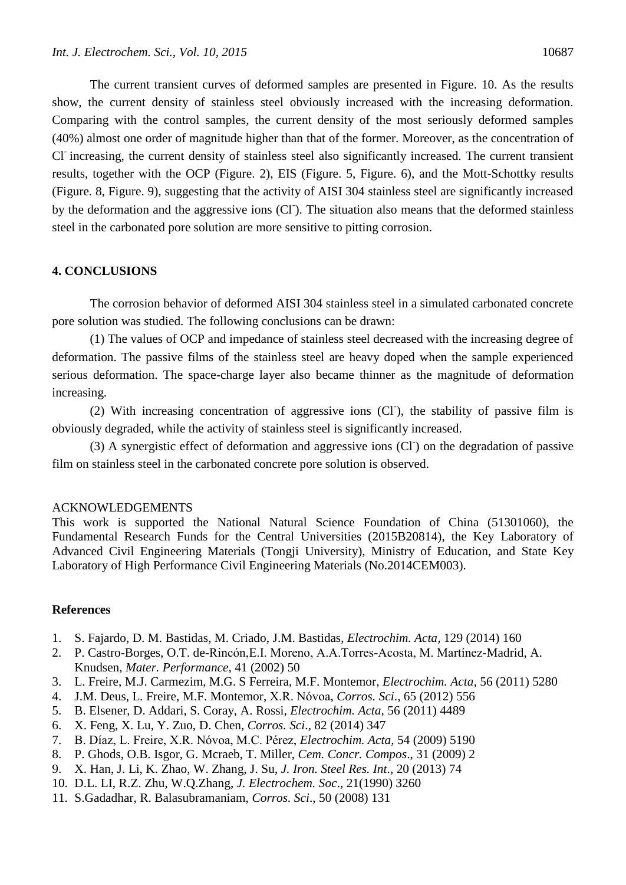The current transient curves of deformed samples are presented in Figure. 10. As the results show, the current density of stainless steel obviously increased with the increasing deformation. Comparing with the control samples, the current density of the most seriously deformed samples (40%) almost one order of magnitude higher than that of the former. Moreover, as the concentration of Cl<sup>-</sup>increasing, the current density of stainless steel also significantly increased. The current transient results, together with the OCP (Figure. 2), EIS (Figure. 5, Figure. 6), and the Mott-Schottky results (Figure. 8, Figure. 9), suggesting that the activity of AISI 304 stainless steel are significantly increased by the deformation and the aggressive ions (CI). The situation also means that the deformed stainless steel in the carbonated pore solution are more sensitive to pitting corrosion.

## **4. CONCLUSIONS**

The corrosion behavior of deformed AISI 304 stainless steel in a simulated carbonated concrete pore solution was studied. The following conclusions can be drawn:

(1) The values of OCP and impedance of stainless steel decreased with the increasing degree of deformation. The passive films of the stainless steel are heavy doped when the sample experienced serious deformation. The space-charge layer also became thinner as the magnitude of deformation increasing.

(2) With increasing concentration of aggressive ions (CI), the stability of passive film is obviously degraded, while the activity of stainless steel is significantly increased.

(3) A synergistic effect of deformation and aggressive ions (CI) on the degradation of passive film on stainless steel in the carbonated concrete pore solution is observed.

### ACKNOWLEDGEMENTS

This work is supported the National Natural Science Foundation of China (51301060), the Fundamental Research Funds for the Central Universities (2015B20814), the Key Laboratory of Advanced Civil Engineering Materials (Tongji University), Ministry of Education, and State Key Laboratory of High Performance Civil Engineering Materials (No.2014CEM003).

## **References**

- 1. S. Fajardo, D. M. Bastidas, M. Criado, [J.M. Bastidas,](http://www.sciencedirect.com/science/article/pii/S0013468614004216) *Electrochim. Acta,* 129 (2014) 160
- 2. P. Castro-Borges, O.T. de-Rincón,E.I. Moreno, A.A.Torres-Acosta, M. Martínez-Madrid, A. Knudsen, *Mater. Performance,* 41 (2002) 50
- 3. [L. Freire,](https://scholar.google.com.hk/citations?user=pN4puVoAAAAJ&hl=zh-CN&oi=sra) M.J. Carmezim, M.G. S Ferreira, M.F. Montemor, *Electrochim. Acta,* 56 (2011) 5280
- 4. J.M. Deus, [L. Freire,](https://scholar.google.com.hk/citations?user=pN4puVoAAAAJ&hl=zh-CN&oi=sra) M.F. Montemor, [X.R. Nóvoa,](https://scholar.google.com.hk/citations?user=uz0FAuIAAAAJ&hl=zh-CN&oi=sra) *Corros. Sci*., 65 (2012) 556
- 5. [B. Elsener,](https://scholar.google.com.hk/citations?user=wFJoiW8AAAAJ&hl=zh-CN&oi=sra) D. Addari, S. Coray, [A. Rossi,](https://scholar.google.com.hk/citations?user=3Td2bgkAAAAJ&hl=zh-CN&oi=sra) *Electrochim. Acta,* 56 (2011) 4489
- 6. X. Feng, X. Lu, Y. Zuo, D. Chen, *Corros. Sci*., 82 (2014) 347
- 7. B. Díaz, L. Freire, X.R. Nóvoa, M.C. Pérez, *Electrochim. Acta,* 54 (2009) 5190
- 8. P. Ghods, O.B. Isgor, G. Mcraeb, T. Miller, *Cem. Concr. Compos*., 31 (2009) 2
- 9. X. Han, J. Li, K. Zhao, W. Zhang, J. Su, *J. Iron. Steel Res. Int*., 20 (2013) 74
- 10. D.L. LI, R.Z. Zhu, W.Q.Zhang, *J. Electrochem. Soc*., 21(1990) 3260
- 11. S.Gadadhar, R. Balasubramaniam, *Corros. Sci*., 50 (2008) 131